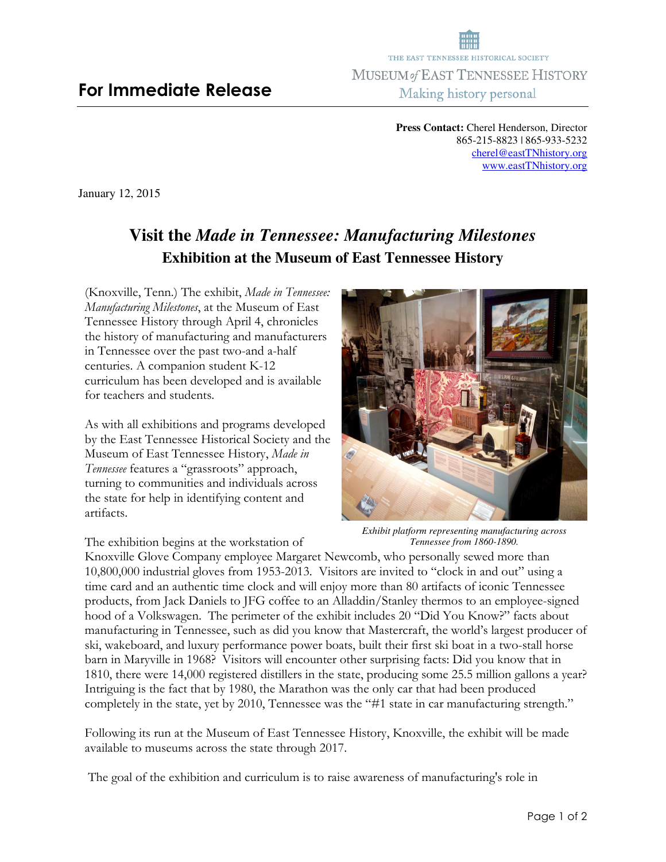**Press Contact:** Cherel Henderson, Director 865-215-8823 | 865-933-5232 cherel@eastTNhistory.org www.eastTNhistory.org

January 12, 2015

## **Visit the** *Made in Tennessee: Manufacturing Milestones* **Exhibition at the Museum of East Tennessee History**

(Knoxville, Tenn.) The exhibit, *Made in Tennessee: Manufacturing Milestones*, at the Museum of East Tennessee History through April 4, chronicles the history of manufacturing and manufacturers in Tennessee over the past two-and a-half centuries. A companion student K-12 curriculum has been developed and is available for teachers and students.

As with all exhibitions and programs developed by the East Tennessee Historical Society and the Museum of East Tennessee History, *Made in Tennessee* features a "grassroots" approach, turning to communities and individuals across the state for help in identifying content and artifacts.



*Exhibit platform representing manufacturing across Tennessee from 1860-1890.* 

The exhibition begins at the workstation of Knoxville Glove Company employee Margaret Newcomb, who personally sewed more than 10,800,000 industrial gloves from 1953-2013. Visitors are invited to "clock in and out" using a time card and an authentic time clock and will enjoy more than 80 artifacts of iconic Tennessee products, from Jack Daniels to JFG coffee to an Alladdin/Stanley thermos to an employee-signed hood of a Volkswagen. The perimeter of the exhibit includes 20 "Did You Know?" facts about manufacturing in Tennessee, such as did you know that Mastercraft, the world's largest producer of ski, wakeboard, and luxury performance power boats, built their first ski boat in a two-stall horse barn in Maryville in 1968? Visitors will encounter other surprising facts: Did you know that in 1810, there were 14,000 registered distillers in the state, producing some 25.5 million gallons a year? Intriguing is the fact that by 1980, the Marathon was the only car that had been produced completely in the state, yet by 2010, Tennessee was the "#1 state in car manufacturing strength."

Following its run at the Museum of East Tennessee History, Knoxville, the exhibit will be made available to museums across the state through 2017.

The goal of the exhibition and curriculum is to raise awareness of manufacturing's role in